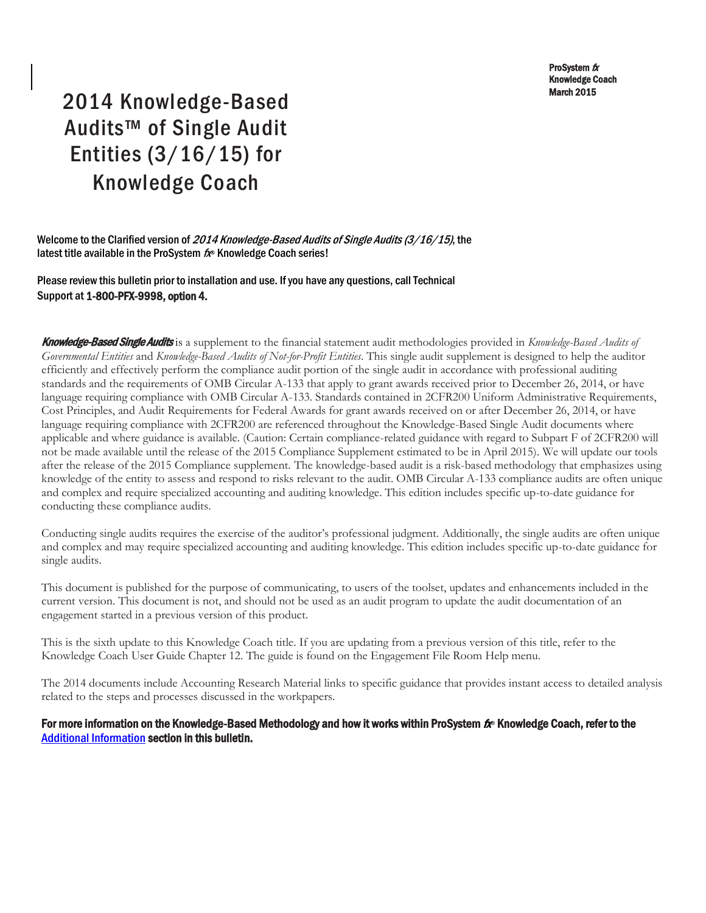ProSystem  $$ Knowledge Coach March 2015

# 2014 Knowledge-Based Audits™ of Single Audit Entities (3/16/15) for Knowledge Coach

Welcome to the Clarified version of 2014 Knowledge-Based Audits of Single Audits (3/16/15), the latest title available in the ProSystem  $f_x$  Knowledge Coach series!

Please review this bulletin prior to installation and use. If you have any questions, call Technical Support at 1-800-PFX-9998, option 4.

Knowledge-Based Single Audits is a supplement to the financial statement audit methodologies provided in *Knowledge-Based Audits of Governmental Entities* and *Knowledge-Based Audits of Not-for-Profit Entities*. This single audit supplement is designed to help the auditor efficiently and effectively perform the compliance audit portion of the single audit in accordance with professional auditing standards and the requirements of OMB Circular A-133 that apply to grant awards received prior to December 26, 2014, or have language requiring compliance with OMB Circular A-133. Standards contained in 2CFR200 Uniform Administrative Requirements, Cost Principles, and Audit Requirements for Federal Awards for grant awards received on or after December 26, 2014, or have language requiring compliance with 2CFR200 are referenced throughout the Knowledge-Based Single Audit documents where applicable and where guidance is available. (Caution: Certain compliance-related guidance with regard to Subpart F of 2CFR200 will not be made available until the release of the 2015 Compliance Supplement estimated to be in April 2015). We will update our tools after the release of the 2015 Compliance supplement. The knowledge-based audit is a risk-based methodology that emphasizes using knowledge of the entity to assess and respond to risks relevant to the audit. OMB Circular A-133 compliance audits are often unique and complex and require specialized accounting and auditing knowledge. This edition includes specific up-to-date guidance for conducting these compliance audits.

Conducting single audits requires the exercise of the auditor's professional judgment. Additionally, the single audits are often unique and complex and may require specialized accounting and auditing knowledge. This edition includes specific up-to-date guidance for single audits.

This document is published for the purpose of communicating, to users of the toolset, updates and enhancements included in the current version. This document is not, and should not be used as an audit program to update the audit documentation of an engagement started in a previous version of this product.

This is the sixth update to this Knowledge Coach title. If you are updating from a previous version of this title, refer to the Knowledge Coach User Guide Chapter 12. The guide is found on the Engagement File Room Help menu.

The 2014 documents include Accounting Research Material links to specific guidance that provides instant access to detailed analysis related to the steps and processes discussed in the workpapers.

# For more information on the Knowledge-Based Methodology and how it works within ProSystem  $f_\text{R}$  Knowledge Coach, refer to the [Additional Information s](#page-2-0)ection in this bulletin.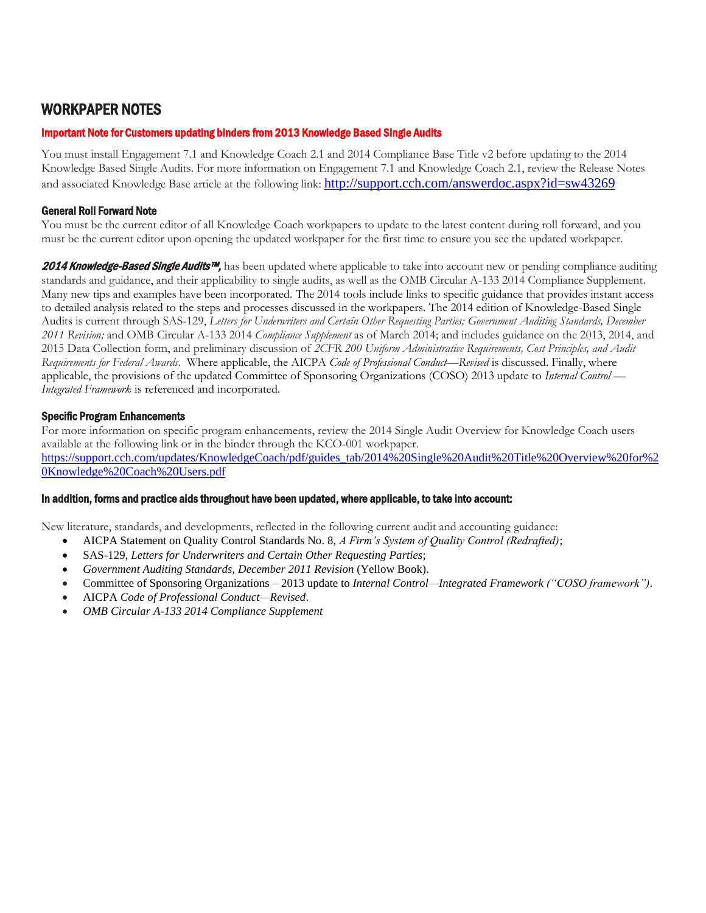# WORKPAPER NOTES

# Important Note for Customers updating binders from 2013 Knowledge Based Single Audits

You must install Engagement 7.1 and Knowledge Coach 2.1 and 2014 Compliance Base Title v2 before updating to the 2014 Knowledge Based Single Audits. For more information on Engagement 7.1 and Knowledge Coach 2.1, review the Release Notes and associated Knowledge Base article at the following link: <http://support.cch.com/answerdoc.aspx?id=sw43269>

# General Roll Forward Note

You must be the current editor of all Knowledge Coach workpapers to update to the latest content during roll forward, and you must be the current editor upon opening the updated workpaper for the first time to ensure you see the updated workpaper.

2014 Knowledge-Based Single Audits™, has been updated where applicable to take into account new or pending compliance auditing standards and guidance, and their applicability to single audits, as well as the OMB Circular A-133 2014 Compliance Supplement. Many new tips and examples have been incorporated. The 2014 tools include links to specific guidance that provides instant access to detailed analysis related to the steps and processes discussed in the workpapers. The 2014 edition of Knowledge-Based Single Audits is current through SAS-129, *Letters for Underwriters and Certain Other Requesting Parties; Government Auditing Standards, December 2011 Revision;* and OMB Circular A-133 2014 *Compliance Supplement* as of March 2014; and includes guidance on the 2013, 2014, and 2015 Data Collection form, and preliminary discussion of *2CFR 200 Uniform Administrative Requirements, Cost Principles, and Audit Requirements for Federal Awards*. Where applicable, the AICPA *Code of Professional Conduct—Revised* is discussed. Finally, where applicable, the provisions of the updated Committee of Sponsoring Organizations (COSO) 2013 update to *Internal Control — Integrated Framework* is referenced and incorporated.

#### Specific Program Enhancements

For more information on specific program enhancements, review the 2014 Single Audit Overview for Knowledge Coach users available at the following link or in the binder through the KCO-001 workpaper. [https://support.cch.com/updates/KnowledgeCoach/pdf/guides\\_tab/2014%20Single%20Audit%20Title%20Overview%20for%2](https://support.cch.com/updates/KnowledgeCoach/pdf/guides_tab/2014%20Single%20Audit%20Title%20Overview%20for%20Knowledge%20Coach%20Users.pdf) [0Knowledge%20Coach%20Users.pdf](https://support.cch.com/updates/KnowledgeCoach/pdf/guides_tab/2014%20Single%20Audit%20Title%20Overview%20for%20Knowledge%20Coach%20Users.pdf)

# In addition, forms and practice aids throughout have been updated, where applicable, to take into account:

New literature, standards, and developments, reflected in the following current audit and accounting guidance:

- AICPA Statement on Quality Control Standards No. 8, *A Firm's System of Quality Control (Redrafted)*;
- SAS-129, *Letters for Underwriters and Certain Other Requesting Parties*;
- *Government Auditing Standards, December 2011 Revision* (Yellow Book).
- Committee of Sponsoring Organizations 2013 update to *Internal Control—Integrated Framework ("COSO framework")*.
- AICPA *Code of Professional Conduct—Revised*.
- *OMB Circular A-133 2014 Compliance Supplement*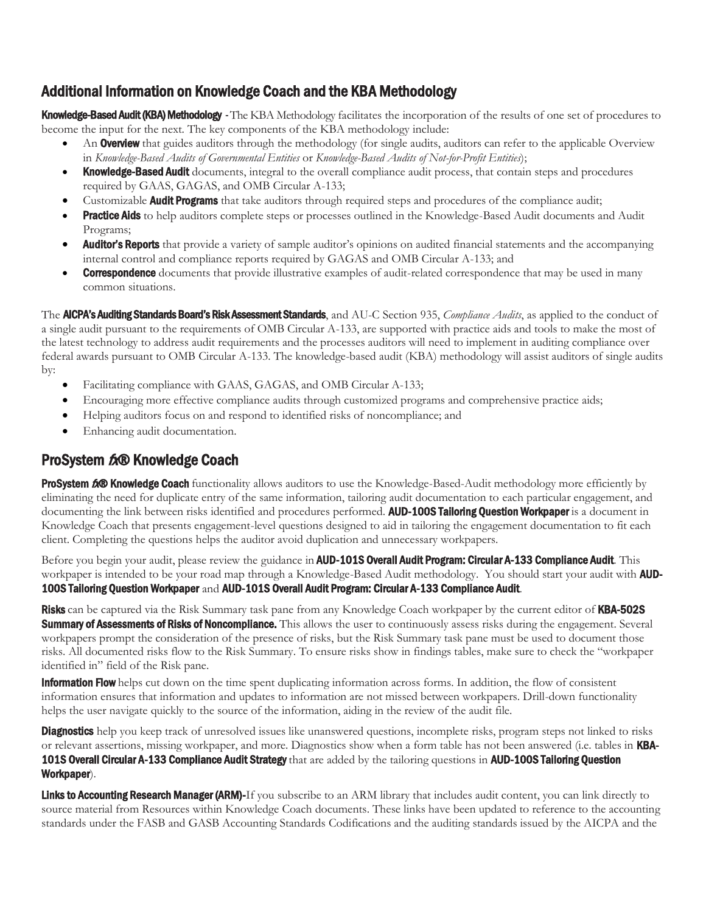# <span id="page-2-0"></span>Additional Information on Knowledge Coach and the KBA Methodology

Knowledge-Based Audit (KBA) Methodology -The KBA Methodology facilitates the incorporation of the results of one set of procedures to become the input for the next. The key components of the KBA methodology include:

- An **Overview** that guides auditors through the methodology (for single audits, auditors can refer to the applicable Overview in *Knowledge-Based Audits of Governmental Entities* or *Knowledge-Based Audits of Not-for-Profit Entities*);
- Knowledge-Based Audit documents, integral to the overall compliance audit process, that contain steps and procedures required by GAAS, GAGAS, and OMB Circular A-133;
- Customizable **Audit Programs** that take auditors through required steps and procedures of the compliance audit;
- Practice Aids to help auditors complete steps or processes outlined in the Knowledge-Based Audit documents and Audit Programs;
- **Auditor's Reports** that provide a variety of sample auditor's opinions on audited financial statements and the accompanying internal control and compliance reports required by GAGAS and OMB Circular A-133; and
- **Correspondence** documents that provide illustrative examples of audit-related correspondence that may be used in many common situations.

The AICPA's Auditing Standards Board's Risk Assessment Standards, and AU-C Section 935, *Compliance Audits*, as applied to the conduct of a single audit pursuant to the requirements of OMB Circular A-133, are supported with practice aids and tools to make the most of the latest technology to address audit requirements and the processes auditors will need to implement in auditing compliance over federal awards pursuant to OMB Circular A-133. The knowledge-based audit (KBA) methodology will assist auditors of single audits by:

- Facilitating compliance with GAAS, GAGAS, and OMB Circular A-133;
- Encouraging more effective compliance audits through customized programs and comprehensive practice aids;
- Helping auditors focus on and respond to identified risks of noncompliance; and
- Enhancing audit documentation.

# ProSystem  $f_x \otimes$  Knowledge Coach

ProSystem 600 Knowledge Coach functionality allows auditors to use the Knowledge-Based-Audit methodology more efficiently by eliminating the need for duplicate entry of the same information, tailoring audit documentation to each particular engagement, and documenting the link between risks identified and procedures performed. AUD-100S Tailoring Question Workpaper is a document in Knowledge Coach that presents engagement-level questions designed to aid in tailoring the engagement documentation to fit each client. Completing the questions helps the auditor avoid duplication and unnecessary workpapers.

Before you begin your audit, please review the guidance in **AUD-101S Overall Audit Program: Circular A-133 Compliance Audit**. This workpaper is intended to be your road map through a Knowledge-Based Audit methodology. You should start your audit with **AUD-**100S Tailoring Question Workpaper and AUD-101S Overall Audit Program: Circular A-133 Compliance Audit.

Risks can be captured via the Risk Summary task pane from any Knowledge Coach workpaper by the current editor of KBA-502S **Summary of Assessments of Risks of Noncompliance.** This allows the user to continuously assess risks during the engagement. Several workpapers prompt the consideration of the presence of risks, but the Risk Summary task pane must be used to document those risks. All documented risks flow to the Risk Summary. To ensure risks show in findings tables, make sure to check the "workpaper identified in" field of the Risk pane.

**Information Flow** helps cut down on the time spent duplicating information across forms. In addition, the flow of consistent information ensures that information and updates to information are not missed between workpapers. Drill-down functionality helps the user navigate quickly to the source of the information, aiding in the review of the audit file.

**Diagnostics** help you keep track of unresolved issues like unanswered questions, incomplete risks, program steps not linked to risks or relevant assertions, missing workpaper, and more. Diagnostics show when a form table has not been answered (i.e. tables in KBA-101S Overall Circular A-133 Compliance Audit Strategy that are added by the tailoring questions in AUD-100S Tailoring Question Workpaper).

Links to Accounting Research Manager (ARM)-If you subscribe to an ARM library that includes audit content, you can link directly to source material from Resources within Knowledge Coach documents. These links have been updated to reference to the accounting standards under the FASB and GASB Accounting Standards Codifications and the auditing standards issued by the AICPA and the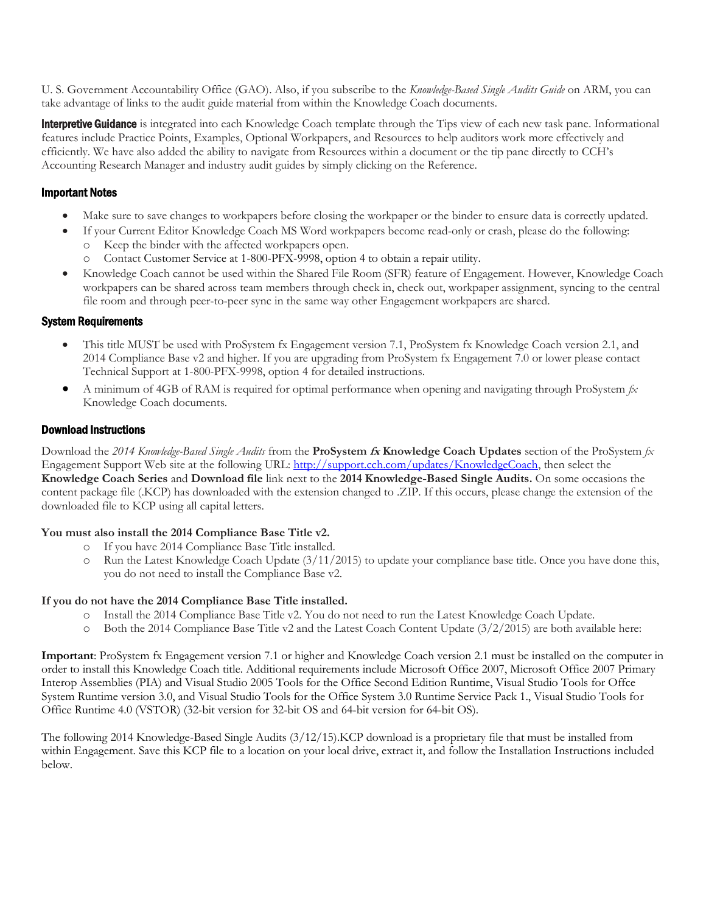U. S. Government Accountability Office (GAO). Also, if you subscribe to the *Knowledge-Based Single Audits Guide* on ARM, you can take advantage of links to the audit guide material from within the Knowledge Coach documents.

**Interpretive Guidance** is integrated into each Knowledge Coach template through the Tips view of each new task pane. Informational features include Practice Points, Examples, Optional Workpapers, and Resources to help auditors work more effectively and efficiently. We have also added the ability to navigate from Resources within a document or the tip pane directly to CCH's Accounting Research Manager and industry audit guides by simply clicking on the Reference.

# Important Notes

- Make sure to save changes to workpapers before closing the workpaper or the binder to ensure data is correctly updated.
- If your Current Editor Knowledge Coach MS Word workpapers become read-only or crash, please do the following:
	- o Keep the binder with the affected workpapers open.
	- Contact Customer Service at 1-800-PFX-9998, option 4 to obtain a repair utility.
- Knowledge Coach cannot be used within the Shared File Room (SFR) feature of Engagement. However, Knowledge Coach workpapers can be shared across team members through check in, check out, workpaper assignment, syncing to the central file room and through peer-to-peer sync in the same way other Engagement workpapers are shared.

#### System Requirements

- This title MUST be used with ProSystem fx Engagement version 7.1, ProSystem fx Knowledge Coach version 2.1, and 2014 Compliance Base v2 and higher. If you are upgrading from ProSystem fx Engagement 7.0 or lower please contact Technical Support at 1-800-PFX-9998, option 4 for detailed instructions.
- A minimum of 4GB of RAM is required for optimal performance when opening and navigating through ProSystem *fx*  Knowledge Coach documents.

# Download Instructions

Download the *2014 Knowledge-Based Single Audits* from the **ProSystem fx Knowledge Coach Updates** section of the ProSystem *fx*  Engagement Support Web site at the following URL: [http://support.cch.com/updates/KnowledgeCoach,](http://support.cch.com/updates/KnowledgeCoach) then select the **Knowledge Coach Series** and **Download file** link next to the **2014 Knowledge-Based Single Audits.** On some occasions the content package file (.KCP) has downloaded with the extension changed to .ZIP. If this occurs, please change the extension of the downloaded file to KCP using all capital letters.

# **You must also install the 2014 Compliance Base Title v2.**

- If you have 2014 Compliance Base Title installed.
- $\circ$  Run the Latest Knowledge Coach Update (3/11/2015) to update your compliance base title. Once you have done this, you do not need to install the Compliance Base v2.

#### **If you do not have the 2014 Compliance Base Title installed.**

- o Install the 2014 Compliance Base Title v2. You do not need to run the Latest Knowledge Coach Update.
- $\circ$  Both the 2014 Compliance Base Title v2 and the Latest Coach Content Update (3/2/2015) are both available here:

**Important**: ProSystem fx Engagement version 7.1 or higher and Knowledge Coach version 2.1 must be installed on the computer in order to install this Knowledge Coach title. Additional requirements include Microsoft Office 2007, Microsoft Office 2007 Primary Interop Assemblies (PIA) and Visual Studio 2005 Tools for the Office Second Edition Runtime, Visual Studio Tools for Offce System Runtime version 3.0, and Visual Studio Tools for the Office System 3.0 Runtime Service Pack 1., Visual Studio Tools for Office Runtime 4.0 (VSTOR) (32-bit version for 32-bit OS and 64-bit version for 64-bit OS).

The following 2014 Knowledge-Based Single Audits (3/12/15).KCP download is a proprietary file that must be installed from within Engagement. Save this KCP file to a location on your local drive, extract it, and follow the Installation Instructions included below.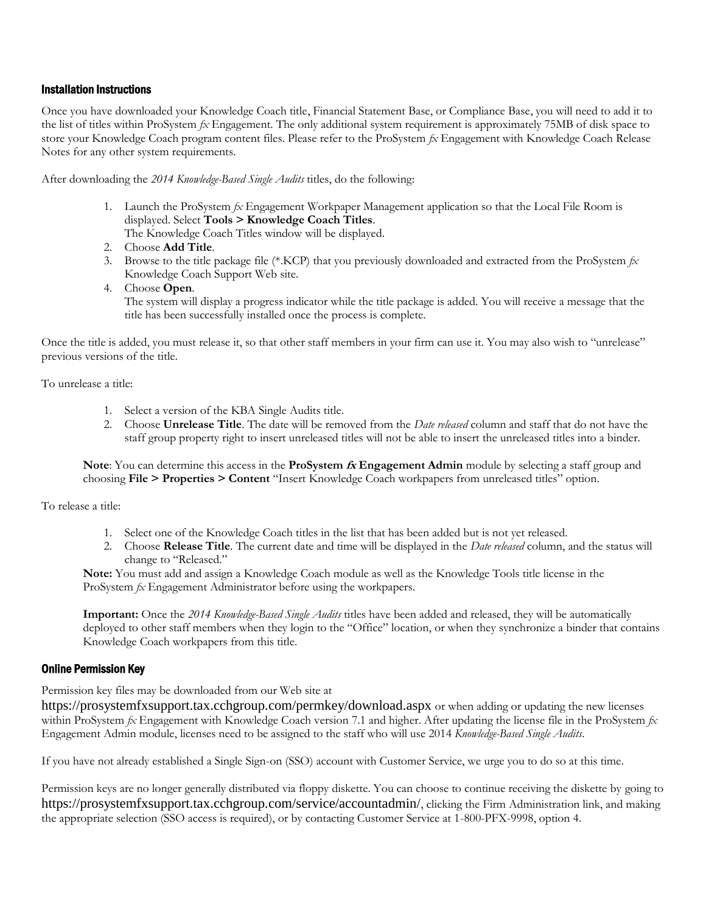#### Installation Instructions

Once you have downloaded your Knowledge Coach title, Financial Statement Base, or Compliance Base, you will need to add it to the list of titles within ProSystem *fx* Engagement. The only additional system requirement is approximately 75MB of disk space to store your Knowledge Coach program content files. Please refer to the ProSystem *fx* Engagement with Knowledge Coach Release Notes for any other system requirements.

After downloading the *2014 Knowledge-Based Single Audits* titles, do the following:

1. Launch the ProSystem *fx* Engagement Workpaper Management application so that the Local File Room is displayed. Select **Tools > Knowledge Coach Titles**.

The Knowledge Coach Titles window will be displayed.

- 2. Choose **Add Title**.
- 3. Browse to the title package file (\*.KCP) that you previously downloaded and extracted from the ProSystem *fx*  Knowledge Coach Support Web site.
- 4. Choose **Open**.

The system will display a progress indicator while the title package is added. You will receive a message that the title has been successfully installed once the process is complete.

Once the title is added, you must release it, so that other staff members in your firm can use it. You may also wish to "unrelease" previous versions of the title.

To unrelease a title:

- 1. Select a version of the KBA Single Audits title.
- 2. Choose **Unrelease Title**. The date will be removed from the *Date released* column and staff that do not have the staff group property right to insert unreleased titles will not be able to insert the unreleased titles into a binder.

**Note**: You can determine this access in the **ProSystem fx Engagement Admin** module by selecting a staff group and choosing **File > Properties > Content** "Insert Knowledge Coach workpapers from unreleased titles" option.

To release a title:

- 1. Select one of the Knowledge Coach titles in the list that has been added but is not yet released.
- 2. Choose **Release Title**. The current date and time will be displayed in the *Date released* column, and the status will change to "Released."

**Note:** You must add and assign a Knowledge Coach module as well as the Knowledge Tools title license in the ProSystem *fx* Engagement Administrator before using the workpapers.

**Important:** Once the *2014 Knowledge-Based Single Audits* titles have been added and released, they will be automatically deployed to other staff members when they login to the "Office" location, or when they synchronize a binder that contains Knowledge Coach workpapers from this title.

# Online Permission Key

Permission key files may be downloaded from our Web site at

https://prosystemfxsupport.tax.cchgroup.com/permkey/download.aspx or when adding or updating the new licenses within ProSystem *fx* Engagement with Knowledge Coach version 7.1 and higher. After updating the license file in the ProSystem *fx*  Engagement Admin module, licenses need to be assigned to the staff who will use 2014 *Knowledge-Based Single Audits*.

If you have not already established a Single Sign-on (SSO) account with Customer Service, we urge you to do so at this time.

Permission keys are no longer generally distributed via floppy diskette. You can choose to continue receiving the diskette by going to https://prosystemfxsupport.tax.cchgroup.com/service/accountadmin/, clicking the Firm Administration link, and making the appropriate selection (SSO access is required), or by contacting Customer Service at 1-800-PFX-9998, option 4.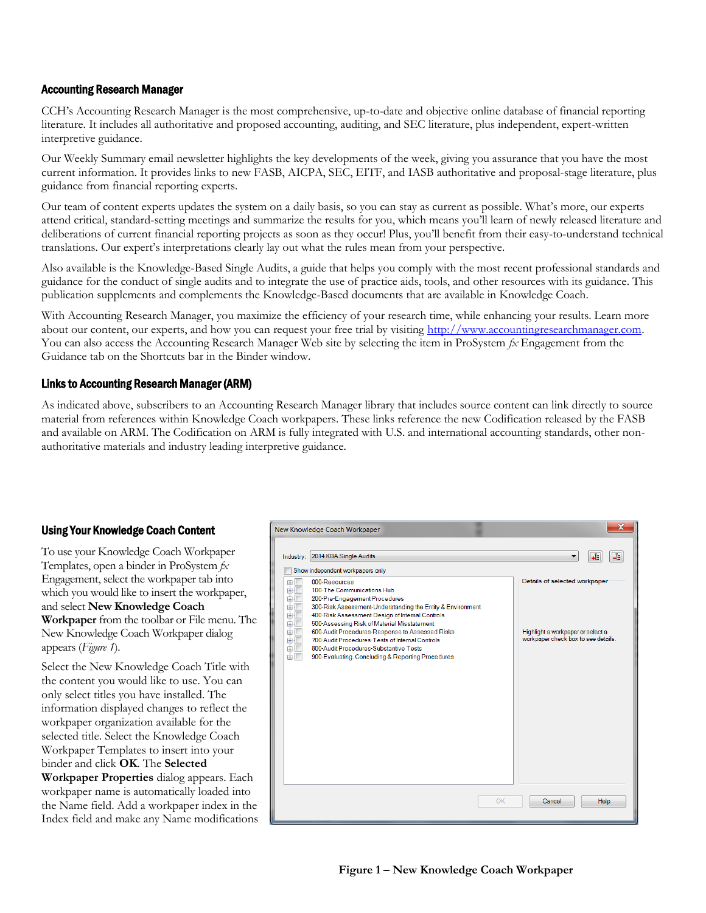# Accounting Research Manager

CCH's Accounting Research Manager is the most comprehensive, up-to-date and objective online database of financial reporting literature. It includes all authoritative and proposed accounting, auditing, and SEC literature, plus independent, expert-written interpretive guidance.

Our Weekly Summary email newsletter highlights the key developments of the week, giving you assurance that you have the most current information. It provides links to new FASB, AICPA, SEC, EITF, and IASB authoritative and proposal-stage literature, plus guidance from financial reporting experts.

Our team of content experts updates the system on a daily basis, so you can stay as current as possible. What's more, our experts attend critical, standard-setting meetings and summarize the results for you, which means you'll learn of newly released literature and deliberations of current financial reporting projects as soon as they occur! Plus, you'll benefit from their easy-to-understand technical translations. Our expert's interpretations clearly lay out what the rules mean from your perspective.

Also available is the Knowledge-Based Single Audits, a guide that helps you comply with the most recent professional standards and guidance for the conduct of single audits and to integrate the use of practice aids, tools, and other resources with its guidance. This publication supplements and complements the Knowledge-Based documents that are available in Knowledge Coach.

With Accounting Research Manager, you maximize the efficiency of your research time, while enhancing your results. Learn more about our content, our experts, and how you can request your free trial by visiting http://www.accountingresearchmanager.com. You can also access the Accounting Research Manager Web site by selecting the item in ProSystem *fx* Engagement from the Guidance tab on the Shortcuts bar in the Binder window.

# Links to Accounting Research Manager (ARM)

As indicated above, subscribers to an Accounting Research Manager library that includes source content can link directly to source material from references within Knowledge Coach workpapers. These links reference the new Codification released by the FASB and available on ARM. The Codification on ARM is fully integrated with U.S. and international accounting standards, other nonauthoritative materials and industry leading interpretive guidance.

# Using Your Knowledge Coach Content

To use your Knowledge Coach Workpaper Templates, open a binder in ProSystem *fx*  Engagement, select the workpaper tab into which you would like to insert the workpaper, and select **New Knowledge Coach Workpaper** from the toolbar or File menu. The New Knowledge Coach Workpaper dialog appears (*Figure 1*).

Select the New Knowledge Coach Title with the content you would like to use. You can only select titles you have installed. The information displayed changes to reflect the workpaper organization available for the selected title. Select the Knowledge Coach Workpaper Templates to insert into your binder and click **OK**. The **Selected Workpaper Properties** dialog appears. Each workpaper name is automatically loaded into the Name field. Add a workpaper index in the Index field and make any Name modifications